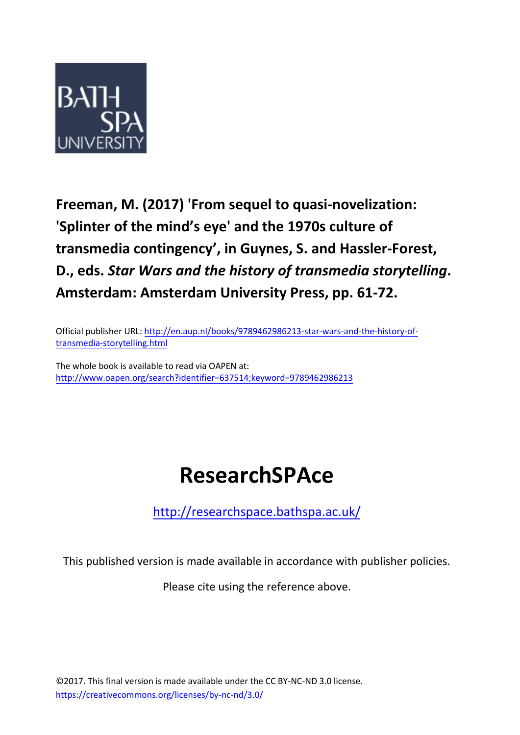

## **Freeman, M. (2017) 'From sequel to quasi-novelization: 'Splinter of the mind's eye' and the 1970s culture of transmedia contingency' , in Guynes, S. and Hassler-Forest, D., eds.** *Star Wars and the history of transmedia storytelling***. Amsterdam: Amsterdam University Press, pp. 61-72.**

Official publisher URL: [http://en.aup.nl/books/9789462986213-star-wars-and-the-history-of](http://en.aup.nl/books/9789462986213-star-wars-and-the-history-of-transmedia-storytelling.html)[transmedia-storytelling.html](http://en.aup.nl/books/9789462986213-star-wars-and-the-history-of-transmedia-storytelling.html)

The whole book is available to read via OAPEN at: <http://www.oapen.org/search?identifier=637514;keyword=9789462986213>

# **ResearchSPAce**

<http://researchspace.bathspa.ac.uk/>

This published version is made available in accordance with publisher policies.

Please cite using the reference above.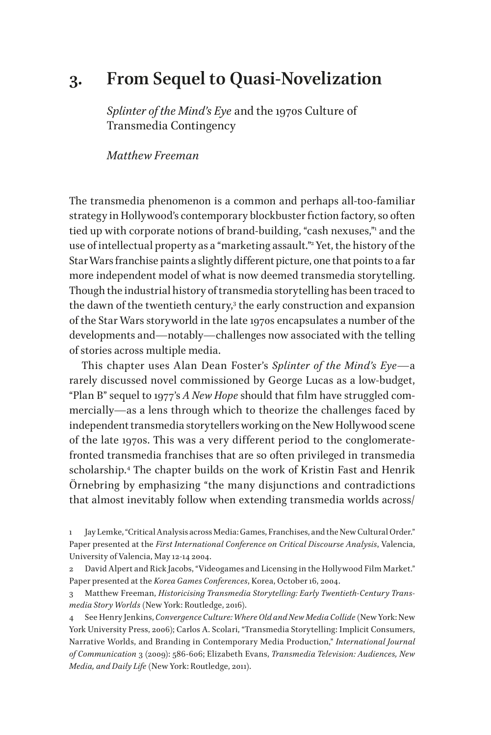### **3. From Sequel to Quasi-Novelization**

*Splinter of the Mind's Eye* and the 1970s Culture of Transmedia Contingency

*Matthew Freeman*

The transmedia phenomenon is a common and perhaps all-too-familiar strategy in Hollywood's contemporary blockbuster fiction factory, so often tied up with corporate notions of brand-building, "cash nexuses," and the use of intellectual property as a "marketing assault."2 Yet, the history of the Star Wars franchise paints a slightly different picture, one that points to a far more independent model of what is now deemed transmedia storytelling. Though the industrial history of transmedia storytelling has been traced to the dawn of the twentieth century,<sup>3</sup> the early construction and expansion of the Star Wars storyworld in the late 1970s encapsulates a number of the developments and—notably—challenges now associated with the telling of stories across multiple media.

This chapter uses Alan Dean Foster's *Splinter of the Mind's Eye*—a rarely discussed novel commissioned by George Lucas as a low-budget, "Plan B" sequel to 1977's *A New Hope* should that film have struggled commercially—as a lens through which to theorize the challenges faced by independent transmedia storytellers working on the New Hollywood scene of the late 1970s. This was a very different period to the conglomeratefronted transmedia franchises that are so often privileged in transmedia scholarship.4 The chapter builds on the work of Kristin Fast and Henrik Örnebring by emphasizing "the many disjunctions and contradictions that almost inevitably follow when extending transmedia worlds across/

1 Jay Lemke, "Critical Analysis across Media: Games, Franchises, and the New Cultural Order." Paper presented at the *First International Conference on Critical Discourse Analysis*, Valencia, University of Valencia, May 12-14 2004.

2 David Alpert and Rick Jacobs, "Videogames and Licensing in the Hollywood Film Market." Paper presented at the *Korea Games Conferences*, Korea, October 16, 2004.

3 Matthew Freeman, *Historicising Transmedia Storytelling: Early Twentieth-Century Transmedia Story Worlds* (New York: Routledge, 2016).

4 See Henry Jenkins, *Convergence Culture: Where Old and New Media Collide* (New York: New York University Press, 2006); Carlos A. Scolari, "Transmedia Storytelling: Implicit Consumers, Narrative Worlds, and Branding in Contemporary Media Production," *International Journal of Communication* 3 (2009): 586-606; Elizabeth Evans, *Transmedia Television: Audiences, New Media, and Daily Life* (New York: Routledge, 2011).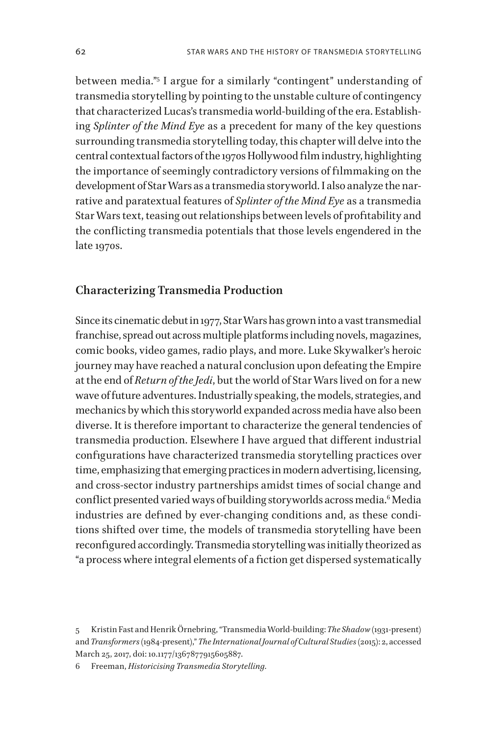between media."5 I argue for a similarly "contingent" understanding of transmedia storytelling by pointing to the unstable culture of contingency that characterized Lucas's transmedia world-building of the era. Establishing *Splinter of the Mind Eye* as a precedent for many of the key questions surrounding transmedia storytelling today, this chapter will delve into the central contextual factors of the 1970s Hollywood film industry, highlighting the importance of seemingly contradictory versions of filmmaking on the development of Star Wars as a transmedia storyworld. I also analyze the narrative and paratextual features of *Splinter of the Mind Eye* as a transmedia Star Wars text, teasing out relationships between levels of profitability and the conflicting transmedia potentials that those levels engendered in the late 1970s.

#### **Characterizing Transmedia Production**

Since its cinematic debut in 1977, Star Wars has grown into a vast transmedial franchise, spread out across multiple platforms including novels, magazines, comic books, video games, radio plays, and more. Luke Skywalker's heroic journey may have reached a natural conclusion upon defeating the Empire at the end of *Return of the Jedi*, but the world of Star Wars lived on for a new wave of future adventures. Industrially speaking, the models, strategies, and mechanics by which this storyworld expanded across media have also been diverse. It is therefore important to characterize the general tendencies of transmedia production. Elsewhere I have argued that different industrial configurations have characterized transmedia storytelling practices over time, emphasizing that emerging practices in modern advertising, licensing, and cross-sector industry partnerships amidst times of social change and conflict presented varied ways of building storyworlds across media.6 Media industries are defined by ever-changing conditions and, as these conditions shifted over time, the models of transmedia storytelling have been reconfigured accordingly. Transmedia storytelling was initially theorized as "a process where integral elements of a fiction get dispersed systematically

<sup>5</sup> Kristin Fast and Henrik Örnebring, "Transmedia World-building: *The Shadow* (1931-present) and *Transformers* (1984-present)," *The International Journal of Cultural Studies* (2015): 2, accessed March 25, 2017, doi: 10.1177/1367877915605887.

<sup>6</sup> Freeman, *Historicising Transmedia Storytelling*.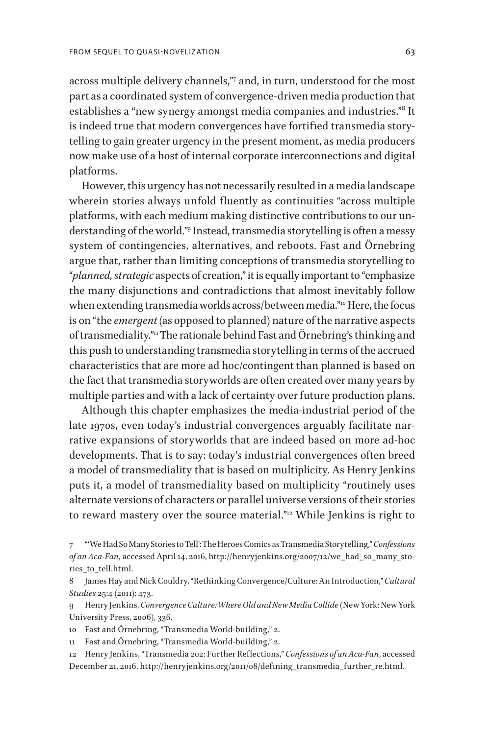across multiple delivery channels,"7 and, in turn, understood for the most part as a coordinated system of convergence-driven media production that establishes a "new synergy amongst media companies and industries."8 It is indeed true that modern convergences have fortified transmedia storytelling to gain greater urgency in the present moment, as media producers now make use of a host of internal corporate interconnections and digital platforms.

However, this urgency has not necessarily resulted in a media landscape wherein stories always unfold fluently as continuities "across multiple platforms, with each medium making distinctive contributions to our understanding of the world."9 Instead, transmedia storytelling is often a messy system of contingencies, alternatives, and reboots. Fast and Örnebring argue that, rather than limiting conceptions of transmedia storytelling to "*planned, strategic* aspects of creation," it is equally important to "emphasize the many disjunctions and contradictions that almost inevitably follow when extending transmedia worlds across/between media."<sup>10</sup> Here, the focus is on "the *emergent* (as opposed to planned) nature of the narrative aspects of transmediality."11 The rationale behind Fast and Örnebring's thinking and this push to understanding transmedia storytelling in terms of the accrued characteristics that are more ad hoc/contingent than planned is based on the fact that transmedia storyworlds are often created over many years by multiple parties and with a lack of certainty over future production plans.

Although this chapter emphasizes the media-industrial period of the late 1970s, even today's industrial convergences arguably facilitate narrative expansions of storyworlds that are indeed based on more ad-hoc developments. That is to say: today's industrial convergences often breed a model of transmediality that is based on multiplicity. As Henry Jenkins puts it, a model of transmediality based on multiplicity "routinely uses alternate versions of characters or parallel universe versions of their stories to reward mastery over the source material."<sup>12</sup> While Jenkins is right to

11 Fast and Örnebring, "Transmedia World-building," 2.

<sup>7</sup> "'We Had So Many Stories to Tell': The Heroes Comics as Transmedia Storytelling," *Confessions of an Aca-Fan*, accessed April 14, 2016, http://henryjenkins.org/2007/12/we\_had\_so\_many\_stories to tell.html.

<sup>8</sup> James Hay and Nick Couldry, "Rethinking Convergence/Culture: An Introduction," *Cultural Studies* 25:4 (2011): 473.

<sup>9</sup> Henry Jenkins, *Convergence Culture: Where Old and New Media Collide* (New York: New York University Press, 2006), 336.

<sup>10</sup> Fast and Örnebring, "Transmedia World-building," 2.

<sup>12</sup> Henry Jenkins, "Transmedia 202: Further Reflections," *Confessions of an Aca-Fan*, accessed December 21, 2016, http://henryjenkins.org/2011/08/defining\_transmedia\_further\_re.html.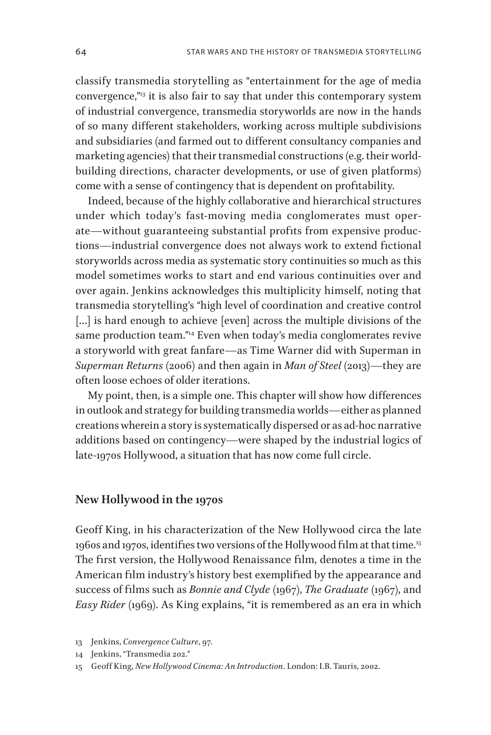classify transmedia storytelling as "entertainment for the age of media convergence,"13 it is also fair to say that under this contemporary system of industrial convergence, transmedia storyworlds are now in the hands of so many different stakeholders, working across multiple subdivisions and subsidiaries (and farmed out to different consultancy companies and marketing agencies) that their transmedial constructions (e.g. their worldbuilding directions, character developments, or use of given platforms) come with a sense of contingency that is dependent on profitability.

Indeed, because of the highly collaborative and hierarchical structures under which today's fast-moving media conglomerates must operate—without guaranteeing substantial profits from expensive productions—industrial convergence does not always work to extend fictional storyworlds across media as systematic story continuities so much as this model sometimes works to start and end various continuities over and over again. Jenkins acknowledges this multiplicity himself, noting that transmedia storytelling's "high level of coordination and creative control [...] is hard enough to achieve [even] across the multiple divisions of the same production team."<sup>14</sup> Even when today's media conglomerates revive a storyworld with great fanfare—as Time Warner did with Superman in *Superman Returns* (2006) and then again in *Man of Steel* (2013)—they are often loose echoes of older iterations.

My point, then, is a simple one. This chapter will show how differences in outlook and strategy for building transmedia worlds—either as planned creations wherein a story is systematically dispersed or as ad-hoc narrative additions based on contingency—were shaped by the industrial logics of late-1970s Hollywood, a situation that has now come full circle.

#### **New Hollywood in the 1970s**

Geoff King, in his characterization of the New Hollywood circa the late 1960s and 1970s, identifies two versions of the Hollywood film at that time.15 The first version, the Hollywood Renaissance film, denotes a time in the American film industry's history best exemplified by the appearance and success of films such as *Bonnie and Clyde* (1967), *The Graduate* (1967), and *Easy Rider* (1969). As King explains, "it is remembered as an era in which

<sup>13</sup> Jenkins, *Convergence Culture*, 97.

<sup>14</sup> Jenkins, "Transmedia 202."

<sup>15</sup> Geoff King, *New Hollywood Cinema: An Introduction*. London: I.B. Tauris, 2002.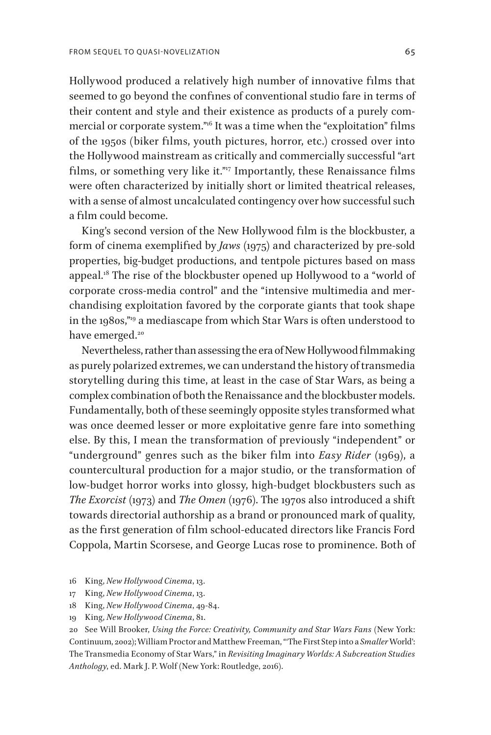Hollywood produced a relatively high number of innovative films that seemed to go beyond the confines of conventional studio fare in terms of their content and style and their existence as products of a purely commercial or corporate system."16 It was a time when the "exploitation" films of the 1950s (biker films, youth pictures, horror, etc.) crossed over into the Hollywood mainstream as critically and commercially successful "art films, or something very like it."<sup>17</sup> Importantly, these Renaissance films were often characterized by initially short or limited theatrical releases, with a sense of almost uncalculated contingency over how successful such a film could become.

King's second version of the New Hollywood film is the blockbuster, a form of cinema exemplified by *Jaws* (1975) and characterized by pre-sold properties, big-budget productions, and tentpole pictures based on mass appeal.<sup>18</sup> The rise of the blockbuster opened up Hollywood to a "world of corporate cross-media control" and the "intensive multimedia and merchandising exploitation favored by the corporate giants that took shape in the 1980s,"19 a mediascape from which Star Wars is often understood to have emerged.<sup>20</sup>

Nevertheless, rather than assessing the era of New Hollywood filmmaking as purely polarized extremes, we can understand the history of transmedia storytelling during this time, at least in the case of Star Wars, as being a complex combination of both the Renaissance and the blockbuster models. Fundamentally, both of these seemingly opposite styles transformed what was once deemed lesser or more exploitative genre fare into something else. By this, I mean the transformation of previously "independent" or "underground" genres such as the biker film into *Easy Rider* (1969), a countercultural production for a major studio, or the transformation of low-budget horror works into glossy, high-budget blockbusters such as *The Exorcist* (1973) and *The Omen* (1976). The 1970s also introduced a shift towards directorial authorship as a brand or pronounced mark of quality, as the first generation of film school-educated directors like Francis Ford Coppola, Martin Scorsese, and George Lucas rose to prominence. Both of

16 King, *New Hollywood Cinema*, 13.

17 King, *New Hollywood Cinema*, 13.

<sup>18</sup> King, *New Hollywood Cinema*, 49-84.

<sup>19</sup> King, *New Hollywood Cinema*, 81.

<sup>20</sup> See Will Brooker, *Using the Force: Creativity, Community and Star Wars Fans* (New York: Continuum, 2002); William Proctor and Matthew Freeman, "'The First Step into a *Smaller* World': The Transmedia Economy of Star Wars," in *Revisiting Imaginary Worlds: A Subcreation Studies Anthology*, ed. Mark J. P. Wolf (New York: Routledge, 2016).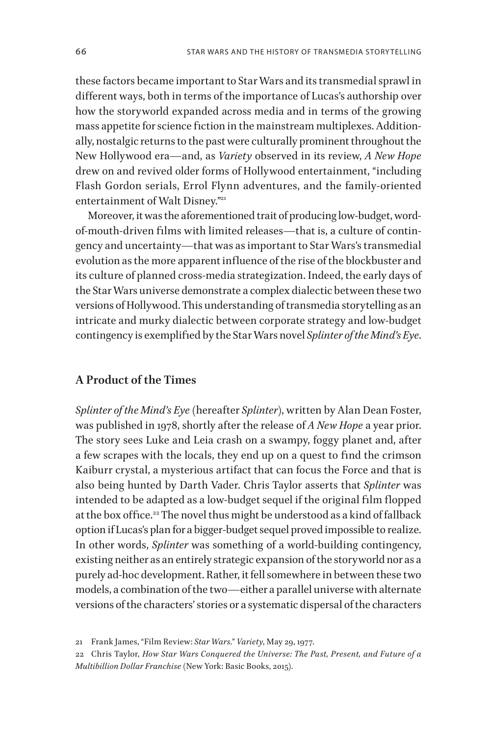these factors became important to Star Wars and its transmedial sprawl in different ways, both in terms of the importance of Lucas's authorship over how the storyworld expanded across media and in terms of the growing mass appetite for science fiction in the mainstream multiplexes. Additionally, nostalgic returns to the past were culturally prominent throughout the New Hollywood era—and, as *Variety* observed in its review, *A New Hope* drew on and revived older forms of Hollywood entertainment, "including Flash Gordon serials, Errol Flynn adventures, and the family-oriented entertainment of Walt Disney."<sup>21</sup>

Moreover, it was the aforementioned trait of producing low-budget, wordof-mouth-driven films with limited releases—that is, a culture of contingency and uncertainty—that was as important to Star Wars's transmedial evolution as the more apparent influence of the rise of the blockbuster and its culture of planned cross-media strategization. Indeed, the early days of the Star Wars universe demonstrate a complex dialectic between these two versions of Hollywood. This understanding of transmedia storytelling as an intricate and murky dialectic between corporate strategy and low-budget contingency is exemplified by the Star Wars novel *Splinter of the Mind's Eye*.

#### **A Product of the Times**

*Splinter of the Mind's Eye* (hereafter *Splinter*), written by Alan Dean Foster, was published in 1978, shortly after the release of *A New Hope* a year prior. The story sees Luke and Leia crash on a swampy, foggy planet and, after a few scrapes with the locals, they end up on a quest to find the crimson Kaiburr crystal, a mysterious artifact that can focus the Force and that is also being hunted by Darth Vader. Chris Taylor asserts that *Splinter* was intended to be adapted as a low-budget sequel if the original film flopped at the box office.<sup>22</sup> The novel thus might be understood as a kind of fallback option if Lucas's plan for a bigger-budget sequel proved impossible to realize. In other words, *Splinter* was something of a world-building contingency, existing neither as an entirely strategic expansion of the storyworld nor as a purely ad-hoc development. Rather, it fell somewhere in between these two models, a combination of the two—either a parallel universe with alternate versions of the characters' stories or a systematic dispersal of the characters

<sup>21</sup> Frank James, "Film Review: *Star Wars*." *Variety*, May 29, 1977.

<sup>22</sup> Chris Taylor, *How Star Wars Conquered the Universe: The Past, Present, and Future of a Multibillion Dollar Franchise* (New York: Basic Books, 2015).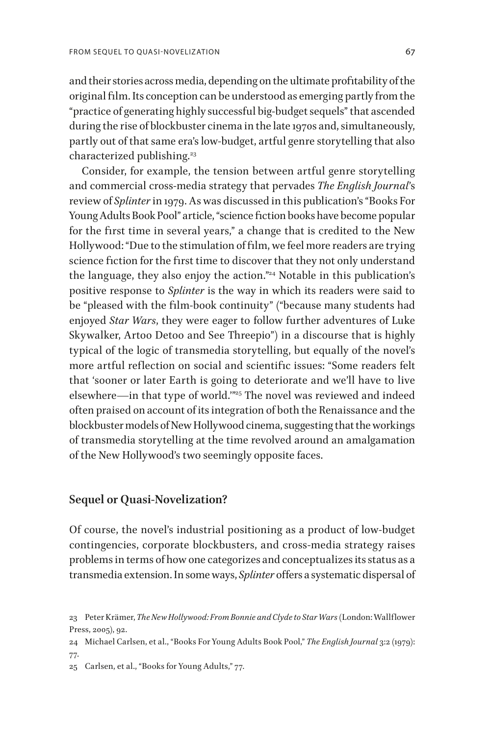and their stories across media, depending on the ultimate profitability of the original film. Its conception can be understood as emerging partly from the "practice of generating highly successful big-budget sequels" that ascended during the rise of blockbuster cinema in the late 1970s and, simultaneously, partly out of that same era's low-budget, artful genre storytelling that also characterized publishing.<sup>23</sup>

Consider, for example, the tension between artful genre storytelling and commercial cross-media strategy that pervades *The English Journal*'s review of *Splinter* in 1979. As was discussed in this publication's "Books For Young Adults Book Pool" article, "science fiction books have become popular for the first time in several years," a change that is credited to the New Hollywood: "Due to the stimulation of film, we feel more readers are trying science fiction for the first time to discover that they not only understand the language, they also enjoy the action."24 Notable in this publication's positive response to *Splinter* is the way in which its readers were said to be "pleased with the film-book continuity" ("because many students had enjoyed *Star Wars*, they were eager to follow further adventures of Luke Skywalker, Artoo Detoo and See Threepio") in a discourse that is highly typical of the logic of transmedia storytelling, but equally of the novel's more artful reflection on social and scientific issues: "Some readers felt that 'sooner or later Earth is going to deteriorate and we'll have to live elsewhere—in that type of world."<sup>25</sup> The novel was reviewed and indeed often praised on account of its integration of both the Renaissance and the blockbuster models of New Hollywood cinema, suggesting that the workings of transmedia storytelling at the time revolved around an amalgamation of the New Hollywood's two seemingly opposite faces.

#### **Sequel or Quasi-Novelization?**

Of course, the novel's industrial positioning as a product of low-budget contingencies, corporate blockbusters, and cross-media strategy raises problems in terms of how one categorizes and conceptualizes its status as a transmedia extension. In some ways, *Splinter* offers a systematic dispersal of

25 Carlsen, et al., "Books for Young Adults," 77.

<sup>23</sup> Peter Krämer, *The New Hollywood: From Bonnie and Clyde to Star Wars* (London: Wallflower Press, 2005), 92.

<sup>24</sup> Michael Carlsen, et al., "Books For Young Adults Book Pool," *The English Journal* 3:2 (1979): 77.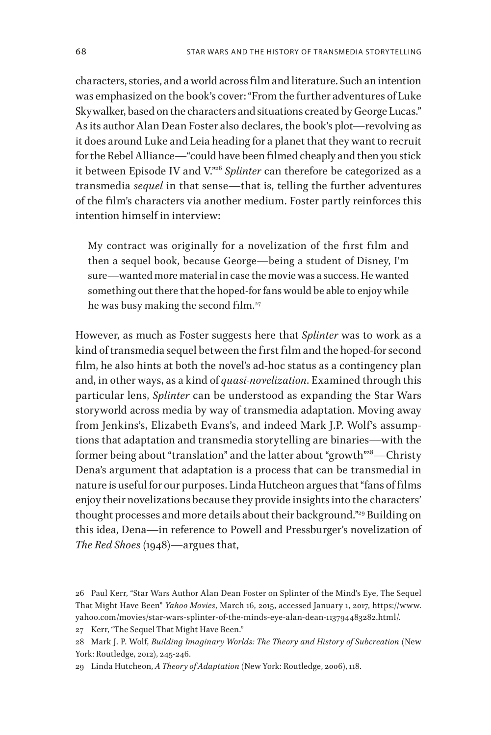characters, stories, and a world across film and literature. Such an intention was emphasized on the book's cover: "From the further adventures of Luke Skywalker, based on the characters and situations created by George Lucas." As its author Alan Dean Foster also declares, the book's plot—revolving as it does around Luke and Leia heading for a planet that they want to recruit for the Rebel Alliance—"could have been filmed cheaply and then you stick it between Episode IV and V."26 *Splinter* can therefore be categorized as a transmedia *sequel* in that sense—that is, telling the further adventures of the film's characters via another medium. Foster partly reinforces this intention himself in interview:

My contract was originally for a novelization of the first film and then a sequel book, because George—being a student of Disney, I'm sure—wanted more material in case the movie was a success. He wanted something out there that the hoped-for fans would be able to enjoy while he was busy making the second film.<sup>27</sup>

However, as much as Foster suggests here that *Splinter* was to work as a kind of transmedia sequel between the first film and the hoped-for second film, he also hints at both the novel's ad-hoc status as a contingency plan and, in other ways, as a kind of *quasi-novelization*. Examined through this particular lens, *Splinter* can be understood as expanding the Star Wars storyworld across media by way of transmedia adaptation. Moving away from Jenkins's, Elizabeth Evans's, and indeed Mark J.P. Wolf's assumptions that adaptation and transmedia storytelling are binaries—with the former being about "translation" and the latter about "growth"<sup>28</sup>—Christy Dena's argument that adaptation is a process that can be transmedial in nature is useful for our purposes. Linda Hutcheon argues that "fans of films enjoy their novelizations because they provide insights into the characters' thought processes and more details about their background."<sup>29</sup> Building on this idea, Dena—in reference to Powell and Pressburger's novelization of *The Red Shoes* (1948)—argues that,

<sup>26</sup> Paul Kerr, "Star Wars Author Alan Dean Foster on Splinter of the Mind's Eye, The Sequel That Might Have Been" *Yahoo Movies*, March 16, 2015, accessed January 1, 2017, https://www. yahoo.com/movies/star-wars-splinter-of-the-minds-eye-alan-dean-113794483282.html/.

<sup>27</sup> Kerr, "The Sequel That Might Have Been."

<sup>28</sup> Mark J. P. Wolf, *Building Imaginary Worlds: The Theory and History of Subcreation* (New York: Routledge, 2012), 245-246.

<sup>29</sup> Linda Hutcheon, *A Theory of Adaptation* (New York: Routledge, 2006), 118.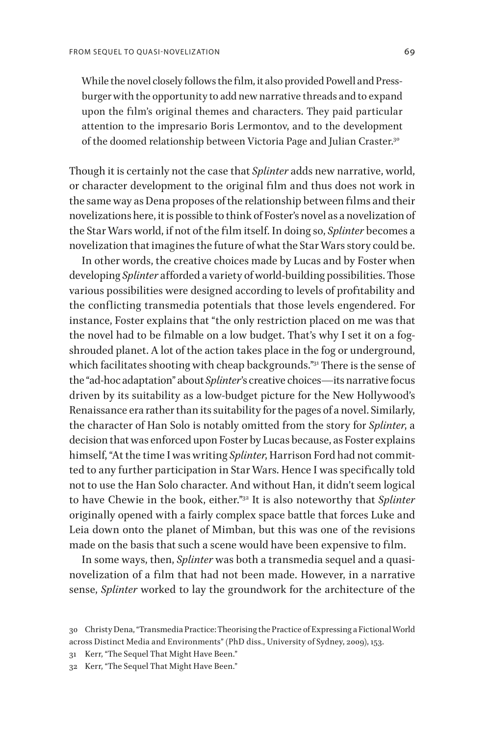While the novel closely follows the film, it also provided Powell and Pressburger with the opportunity to add new narrative threads and to expand upon the film's original themes and characters. They paid particular attention to the impresario Boris Lermontov, and to the development of the doomed relationship between Victoria Page and Julian Craster.30

Though it is certainly not the case that *Splinter* adds new narrative, world, or character development to the original film and thus does not work in the same way as Dena proposes of the relationship between films and their novelizations here, it is possible to think of Foster's novel as a novelization of the Star Wars world, if not of the film itself. In doing so, *Splinter* becomes a novelization that imagines the future of what the Star Wars story could be.

In other words, the creative choices made by Lucas and by Foster when developing *Splinter* afforded a variety of world-building possibilities. Those various possibilities were designed according to levels of profitability and the conflicting transmedia potentials that those levels engendered. For instance, Foster explains that "the only restriction placed on me was that the novel had to be filmable on a low budget. That's why I set it on a fogshrouded planet. A lot of the action takes place in the fog or underground, which facilitates shooting with cheap backgrounds."<sup>31</sup> There is the sense of the "ad-hoc adaptation" about *Splinter*'s creative choices—its narrative focus driven by its suitability as a low-budget picture for the New Hollywood's Renaissance era rather than its suitability for the pages of a novel. Similarly, the character of Han Solo is notably omitted from the story for *Splinter*, a decision that was enforced upon Foster by Lucas because, as Foster explains himself, "At the time I was writing *Splinter*, Harrison Ford had not committed to any further participation in Star Wars. Hence I was specifically told not to use the Han Solo character. And without Han, it didn't seem logical to have Chewie in the book, either."32 It is also noteworthy that *Splinter* originally opened with a fairly complex space battle that forces Luke and Leia down onto the planet of Mimban, but this was one of the revisions made on the basis that such a scene would have been expensive to film.

In some ways, then, *Splinter* was both a transmedia sequel and a quasinovelization of a film that had not been made. However, in a narrative sense, *Splinter* worked to lay the groundwork for the architecture of the

<sup>30</sup> Christy Dena, "Transmedia Practice: Theorising the Practice of Expressing a Fictional World across Distinct Media and Environments" (PhD diss., University of Sydney, 2009), 153.

<sup>31</sup> Kerr, "The Sequel That Might Have Been."

<sup>32</sup> Kerr, "The Sequel That Might Have Been."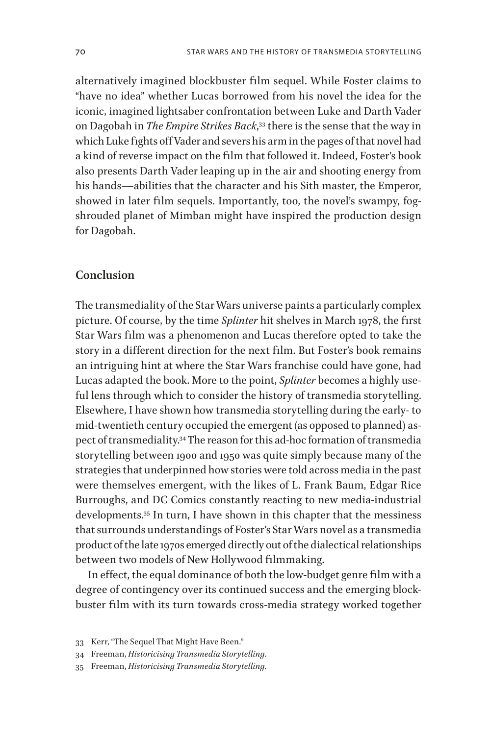alternatively imagined blockbuster film sequel. While Foster claims to "have no idea" whether Lucas borrowed from his novel the idea for the iconic, imagined lightsaber confrontation between Luke and Darth Vader on Dagobah in *The Empire Strikes Back*, 33 there is the sense that the way in which Luke fights off Vader and severs his arm in the pages of that novel had a kind of reverse impact on the film that followed it. Indeed, Foster's book also presents Darth Vader leaping up in the air and shooting energy from his hands—abilities that the character and his Sith master, the Emperor, showed in later film sequels. Importantly, too, the novel's swampy, fogshrouded planet of Mimban might have inspired the production design for Dagobah.

#### **Conclusion**

The transmediality of the Star Wars universe paints a particularly complex picture. Of course, by the time *Splinter* hit shelves in March 1978, the first Star Wars film was a phenomenon and Lucas therefore opted to take the story in a different direction for the next film. But Foster's book remains an intriguing hint at where the Star Wars franchise could have gone, had Lucas adapted the book. More to the point, *Splinter* becomes a highly useful lens through which to consider the history of transmedia storytelling. Elsewhere, I have shown how transmedia storytelling during the early- to mid-twentieth century occupied the emergent (as opposed to planned) aspect of transmediality.34 The reason for this ad-hoc formation of transmedia storytelling between 1900 and 1950 was quite simply because many of the strategies that underpinned how stories were told across media in the past were themselves emergent, with the likes of L. Frank Baum, Edgar Rice Burroughs, and DC Comics constantly reacting to new media-industrial developments.35 In turn, I have shown in this chapter that the messiness that surrounds understandings of Foster's Star Wars novel as a transmedia product of the late 1970s emerged directly out of the dialectical relationships between two models of New Hollywood filmmaking.

In effect, the equal dominance of both the low-budget genre film with a degree of contingency over its continued success and the emerging blockbuster film with its turn towards cross-media strategy worked together

<sup>33</sup> Kerr, "The Sequel That Might Have Been."

<sup>34</sup> Freeman, *Historicising Transmedia Storytelling*.

<sup>35</sup> Freeman, *Historicising Transmedia Storytelling*.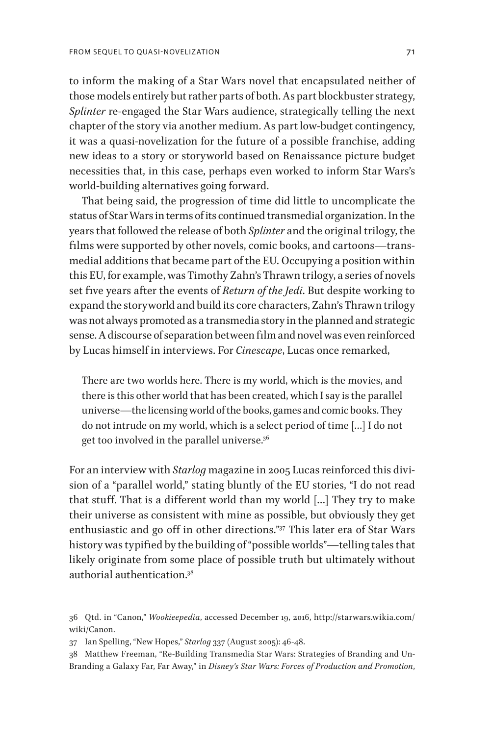to inform the making of a Star Wars novel that encapsulated neither of those models entirely but rather parts of both. As part blockbuster strategy, *Splinter* re-engaged the Star Wars audience, strategically telling the next chapter of the story via another medium. As part low-budget contingency, it was a quasi-novelization for the future of a possible franchise, adding new ideas to a story or storyworld based on Renaissance picture budget necessities that, in this case, perhaps even worked to inform Star Wars's world-building alternatives going forward.

That being said, the progression of time did little to uncomplicate the status of Star Wars in terms of its continued transmedial organization. In the years that followed the release of both *Splinter* and the original trilogy, the films were supported by other novels, comic books, and cartoons—transmedial additions that became part of the EU. Occupying a position within this EU, for example, was Timothy Zahn's Thrawn trilogy, a series of novels set five years after the events of *Return of the Jedi*. But despite working to expand the storyworld and build its core characters, Zahn's Thrawn trilogy was not always promoted as a transmedia story in the planned and strategic sense. A discourse of separation between film and novel was even reinforced by Lucas himself in interviews. For *Cinescape*, Lucas once remarked,

There are two worlds here. There is my world, which is the movies, and there is this other world that has been created, which I say is the parallel universe—the licensing world of the books, games and comic books. They do not intrude on my world, which is a select period of time […] I do not get too involved in the parallel universe.<sup>36</sup>

For an interview with *Starlog* magazine in 2005 Lucas reinforced this division of a "parallel world," stating bluntly of the EU stories, "I do not read that stuff. That is a different world than my world […] They try to make their universe as consistent with mine as possible, but obviously they get enthusiastic and go off in other directions."37 This later era of Star Wars history was typified by the building of "possible worlds"—telling tales that likely originate from some place of possible truth but ultimately without authorial authentication.38

<sup>36</sup> Qtd. in "Canon," *Wookieepedia*, accessed December 19, 2016, http://starwars.wikia.com/ wiki/Canon.

<sup>37</sup> Ian Spelling, "New Hopes," *Starlog* 337 (August 2005): 46-48.

<sup>38</sup> Matthew Freeman, "Re-Building Transmedia Star Wars: Strategies of Branding and Un-Branding a Galaxy Far, Far Away," in *Disney's Star Wars: Forces of Production and Promotion*,